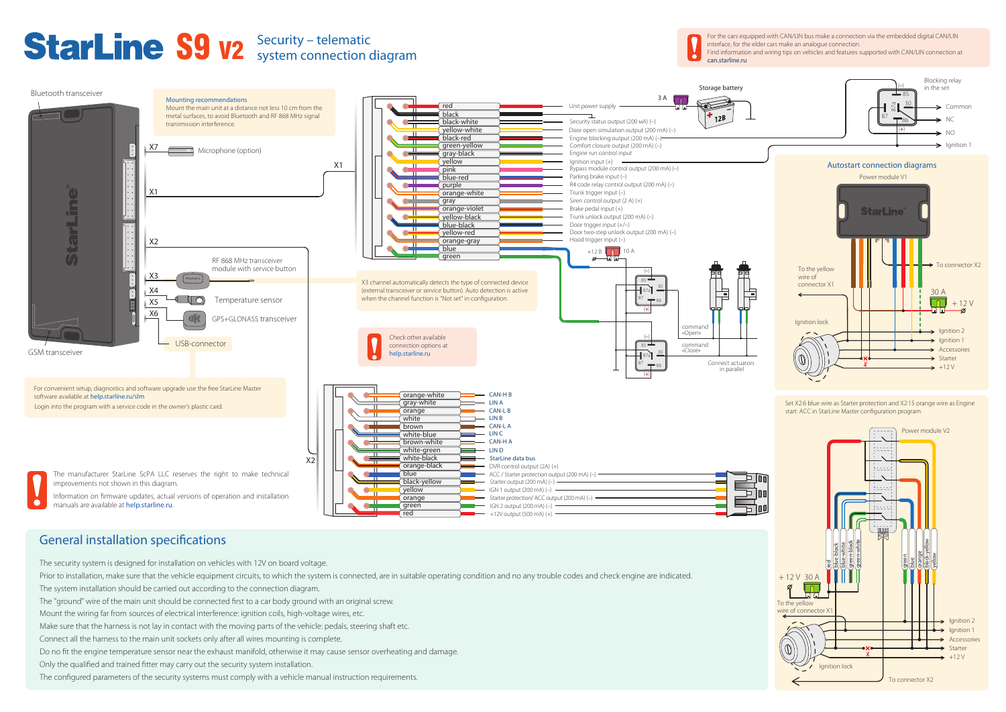The security system is designed for installation on vehicles with 12V on board voltage.

Prior to installation, make sure that the vehicle equipment circuits, to which the system is connected, are in suitable operating condition and no any trouble codes and check engine are indicated.

The system installation should be carried out according to the connection diagram.

The "ground" wire of the main unit should be connected first to a car body ground with an original screw.

Mount the wiring far from sources of electrical interference: ignition coils, high-voltage wires, etc.

Make sure that the harness is not lay in contact with the moving parts of the vehicle: pedals, steering shaft etc.

Connect all the harness to the main unit sockets only after all wires mounting is complete.

Do no fit the engine temperature sensor near the exhaust manifold, otherwise it may cause sensor overheating and damage.

Only the qualified and trained fitter may carry out the security system installation.

The configured parameters of the security systems must comply with a vehicle manual instruction requirements.



 $-+12V$  output (500 mA)  $(+)$ 

# General installation specifications

red





# S9 **V2** Security – telematic

system connection diagram